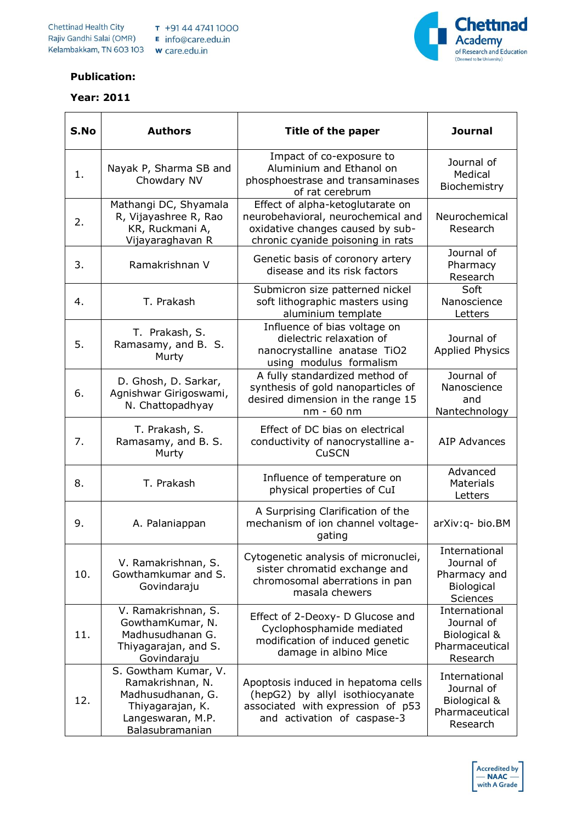

## **Publication:**

## **Year: 2011**  $\overline{\phantom{0}}$

| S.No | <b>Authors</b>                                                                                                            | Title of the paper                                                                                                                              | <b>Journal</b>                                                               |
|------|---------------------------------------------------------------------------------------------------------------------------|-------------------------------------------------------------------------------------------------------------------------------------------------|------------------------------------------------------------------------------|
| 1.   | Nayak P, Sharma SB and<br>Chowdary NV                                                                                     | Impact of co-exposure to<br>Aluminium and Ethanol on<br>phosphoestrase and transaminases<br>of rat cerebrum                                     | Journal of<br>Medical<br>Biochemistry                                        |
| 2.   | Mathangi DC, Shyamala<br>R, Vijayashree R, Rao<br>KR, Ruckmani A,<br>Vijayaraghavan R                                     | Effect of alpha-ketoglutarate on<br>neurobehavioral, neurochemical and<br>oxidative changes caused by sub-<br>chronic cyanide poisoning in rats | Neurochemical<br>Research                                                    |
| 3.   | Ramakrishnan V                                                                                                            | Genetic basis of coronory artery<br>disease and its risk factors                                                                                | Journal of<br>Pharmacy<br>Research                                           |
| 4.   | T. Prakash                                                                                                                | Submicron size patterned nickel<br>soft lithographic masters using<br>aluminium template                                                        | Soft<br>Nanoscience<br>Letters                                               |
| 5.   | T. Prakash, S.<br>Ramasamy, and B. S.<br>Murty                                                                            | Influence of bias voltage on<br>dielectric relaxation of<br>nanocrystalline anatase TiO2<br>using modulus formalism                             | Journal of<br><b>Applied Physics</b>                                         |
| 6.   | D. Ghosh, D. Sarkar,<br>Agnishwar Girigoswami,<br>N. Chattopadhyay                                                        | A fully standardized method of<br>synthesis of gold nanoparticles of<br>desired dimension in the range 15<br>nm - 60 nm                         | Journal of<br>Nanoscience<br>and<br>Nantechnology                            |
| 7.   | T. Prakash, S.<br>Ramasamy, and B. S.<br>Murty                                                                            | Effect of DC bias on electrical<br>conductivity of nanocrystalline a-<br><b>CuSCN</b>                                                           | AIP Advances                                                                 |
| 8.   | T. Prakash                                                                                                                | Influence of temperature on<br>physical properties of CuI                                                                                       | Advanced<br><b>Materials</b><br>Letters                                      |
| 9.   | A. Palaniappan                                                                                                            | A Surprising Clarification of the<br>mechanism of ion channel voltage-<br>gating                                                                | arXiv:q-bio.BM                                                               |
| 10.  | V. Ramakrishnan, S.<br>Gowthamkumar and S.<br>Govindaraju                                                                 | Cytogenetic analysis of micronuclei,<br>sister chromatid exchange and<br>chromosomal aberrations in pan<br>masala chewers                       | International<br>Journal of<br>Pharmacy and<br>Biological<br><b>Sciences</b> |
| 11.  | V. Ramakrishnan, S.<br>GowthamKumar, N.<br>Madhusudhanan G.<br>Thiyagarajan, and S.<br>Govindaraju                        | Effect of 2-Deoxy- D Glucose and<br>Cyclophosphamide mediated<br>modification of induced genetic<br>damage in albino Mice                       | International<br>Journal of<br>Biological &<br>Pharmaceutical<br>Research    |
| 12.  | S. Gowtham Kumar, V.<br>Ramakrishnan, N.<br>Madhusudhanan, G.<br>Thiyagarajan, K.<br>Langeswaran, M.P.<br>Balasubramanian | Apoptosis induced in hepatoma cells<br>(hepG2) by allyl isothiocyanate<br>associated with expression of p53<br>and activation of caspase-3      | International<br>Journal of<br>Biological &<br>Pharmaceutical<br>Research    |

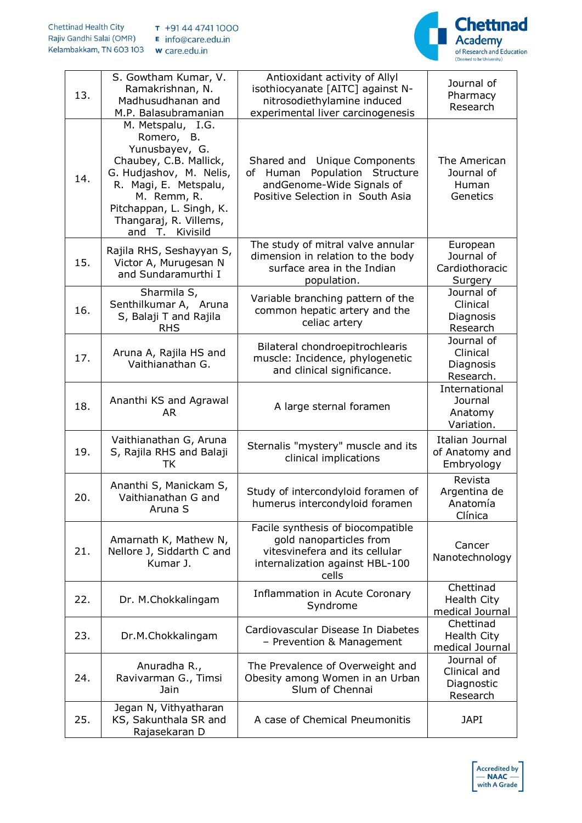



| 13. | S. Gowtham Kumar, V.<br>Ramakrishnan, N.<br>Madhusudhanan and<br>M.P. Balasubramanian                                                                                                                                   | Antioxidant activity of Allyl<br>isothiocyanate [AITC] against N-<br>nitrosodiethylamine induced<br>experimental liver carcinogenesis      | Journal of<br>Pharmacy<br>Research                   |
|-----|-------------------------------------------------------------------------------------------------------------------------------------------------------------------------------------------------------------------------|--------------------------------------------------------------------------------------------------------------------------------------------|------------------------------------------------------|
| 14. | M. Metspalu, I.G.<br>Romero, B.<br>Yunusbayev, G.<br>Chaubey, C.B. Mallick,<br>G. Hudjashov, M. Nelis,<br>R. Magi, E. Metspalu,<br>M. Remm, R.<br>Pitchappan, L. Singh, K.<br>Thangaraj, R. Villems,<br>and T. Kivisild | Shared and Unique Components<br>Population Structure<br>of Human<br>andGenome-Wide Signals of<br>Positive Selection in South Asia          | The American<br>Journal of<br>Human<br>Genetics      |
| 15. | Rajila RHS, Seshayyan S,<br>Victor A, Murugesan N<br>and Sundaramurthi I                                                                                                                                                | The study of mitral valve annular<br>dimension in relation to the body<br>surface area in the Indian<br>population.                        | European<br>Journal of<br>Cardiothoracic<br>Surgery  |
| 16. | Sharmila S,<br>Senthilkumar A, Aruna<br>S, Balaji T and Rajila<br><b>RHS</b>                                                                                                                                            | Variable branching pattern of the<br>common hepatic artery and the<br>celiac artery                                                        | Journal of<br>Clinical<br>Diagnosis<br>Research      |
| 17. | Aruna A, Rajila HS and<br>Vaithianathan G.                                                                                                                                                                              | Bilateral chondroepitrochlearis<br>muscle: Incidence, phylogenetic<br>and clinical significance.                                           | Journal of<br>Clinical<br>Diagnosis<br>Research.     |
| 18. | Ananthi KS and Agrawal<br>AR                                                                                                                                                                                            | A large sternal foramen                                                                                                                    | International<br>Journal<br>Anatomy<br>Variation.    |
| 19. | Vaithianathan G, Aruna<br>S, Rajila RHS and Balaji<br>ТK                                                                                                                                                                | Sternalis "mystery" muscle and its<br>clinical implications                                                                                | Italian Journal<br>of Anatomy and<br>Embryology      |
| 20. | Ananthi S, Manickam S,<br>Vaithianathan G and<br>Aruna S                                                                                                                                                                | Study of intercondyloid foramen of<br>humerus intercondyloid foramen                                                                       | Revista<br>Argentina de<br>Anatomía<br>Clínica       |
| 21. | Amarnath K, Mathew N,<br>Nellore J, Siddarth C and<br>Kumar J.                                                                                                                                                          | Facile synthesis of biocompatible<br>gold nanoparticles from<br>vitesvinefera and its cellular<br>internalization against HBL-100<br>cells | Cancer<br>Nanotechnology                             |
| 22. | Dr. M.Chokkalingam                                                                                                                                                                                                      | <b>Inflammation in Acute Coronary</b><br>Syndrome                                                                                          | Chettinad<br>Health City<br>medical Journal          |
| 23. | Dr.M.Chokkalingam                                                                                                                                                                                                       | Cardiovascular Disease In Diabetes<br>- Prevention & Management                                                                            | Chettinad<br>Health City<br>medical Journal          |
| 24. | Anuradha R.,<br>Ravivarman G., Timsi<br>Jain                                                                                                                                                                            | The Prevalence of Overweight and<br>Obesity among Women in an Urban<br>Slum of Chennai                                                     | Journal of<br>Clinical and<br>Diagnostic<br>Research |
| 25. | Jegan N, Vithyatharan<br>KS, Sakunthala SR and<br>Rajasekaran D                                                                                                                                                         | A case of Chemical Pneumonitis                                                                                                             | <b>JAPI</b>                                          |